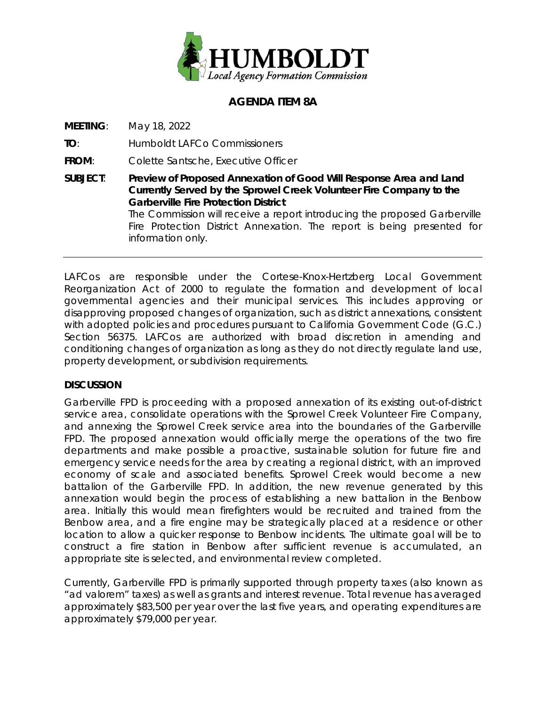

# **AGENDA ITEM 8A**

**MEETING**: May 18, 2022

**TO**: Humboldt LAFCo Commissioners

information only.

**FROM**: Colette Santsche, Executive Officer

**SUBJECT**: **Preview of Proposed Annexation of Good Will Response Area and Land Currently Served by the Sprowel Creek Volunteer Fire Company to the Garberville Fire Protection District** The Commission will receive a report introducing the proposed Garberville Fire Protection District Annexation. The report is being presented for

LAFCos are responsible under the Cortese-Knox-Hertzberg Local Government Reorganization Act of 2000 to regulate the formation and development of local governmental agencies and their municipal services. This includes approving or disapproving proposed changes of organization, such as district annexations, consistent with adopted policies and procedures pursuant to California Government Code (G.C.) Section 56375. LAFCos are authorized with broad discretion in amending and conditioning changes of organization as long as they do not directly regulate land use, property development, or subdivision requirements.

### **DISCUSSION**

Garberville FPD is proceeding with a proposed annexation of its existing out-of-district service area, consolidate operations with the Sprowel Creek Volunteer Fire Company, and annexing the Sprowel Creek service area into the boundaries of the Garberville FPD. The proposed annexation would officially merge the operations of the two fire departments and make possible a proactive, sustainable solution for future fire and emergency service needs for the area by creating a regional district, with an improved economy of scale and associated benefits. Sprowel Creek would become a new battalion of the Garberville FPD. In addition, the new revenue generated by this annexation would begin the process of establishing a new battalion in the Benbow area. Initially this would mean firefighters would be recruited and trained from the Benbow area, and a fire engine may be strategically placed at a residence or other location to allow a quicker response to Benbow incidents. The ultimate goal will be to construct a fire station in Benbow after sufficient revenue is accumulated, an appropriate site is selected, and environmental review completed.

Currently, Garberville FPD is primarily supported through property taxes (also known as "ad valorem" taxes) as well as grants and interest revenue. Total revenue has averaged approximately \$83,500 per year over the last five years, and operating expenditures are approximately \$79,000 per year.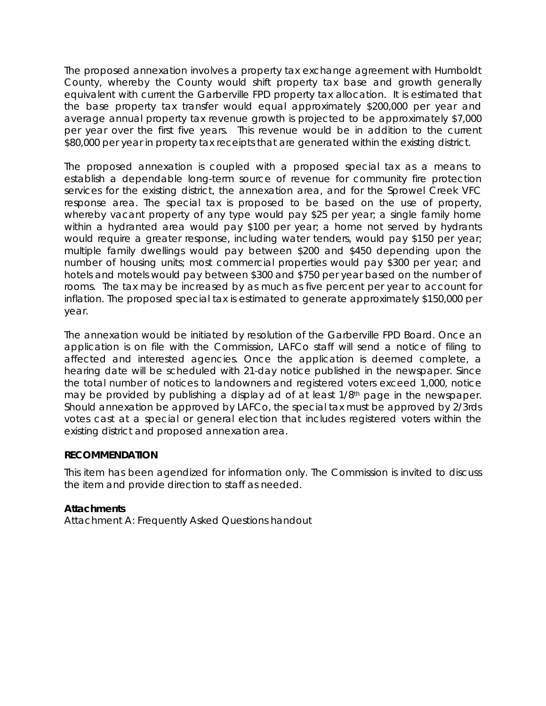The proposed annexation involves a property tax exchange agreement with Humboldt County, whereby the County would shift property tax base and growth generally equivalent with current the Garberville FPD property tax allocation. It is estimated that the base property tax transfer would equal approximately \$200,000 per year and average annual property tax revenue growth is projected to be approximately \$7,000 per year over the first five years. This revenue would be in addition to the current \$80,000 per year in property tax receipts that are generated within the existing district.

The proposed annexation is coupled with a proposed special tax as a means to establish a dependable long-term source of revenue for community fire protection services for the existing district, the annexation area, and for the Sprowel Creek VFC response area. The special tax is proposed to be based on the use of property, whereby vacant property of any type would pay \$25 per year; a single family home within a hydranted area would pay \$100 per year; a home not served by hydrants would require a greater response, including water tenders, would pay \$150 per year; multiple family dwellings would pay between \$200 and \$450 depending upon the number of housing units; most commercial properties would pay \$300 per year; and hotels and motels would pay between \$300 and \$750 per year based on the number of rooms. The tax may be increased by as much as five percent per year to account for inflation. The proposed special tax is estimated to generate approximately \$150,000 per year.

The annexation would be initiated by resolution of the Garberville FPD Board. Once an application is on file with the Commission, LAFCo staff will send a notice of filing to affected and interested agencies. Once the application is deemed complete, a hearing date will be scheduled with 21-day notice published in the newspaper. Since the total number of notices to landowners and registered voters exceed 1,000, notice may be provided by publishing a display ad of at least 1/8th page in the newspaper. Should annexation be approved by LAFCo, the special tax must be approved by 2/3rds votes cast at a special or general election that includes registered voters within the existing district and proposed annexation area.

#### **RECOMMENDATION**

This item has been agendized for information only. The Commission is invited to discuss the item and provide direction to staff as needed.

### *Attachments*

Attachment A: Frequently Asked Questions handout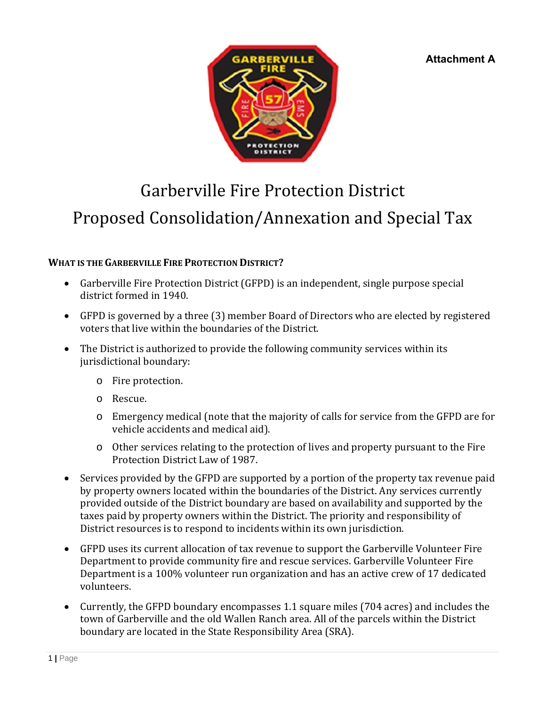**Attachment A**



# Garberville Fire Protection District Proposed Consolidation/Annexation and Special Tax

# **WHAT IS THE GARBERVILLE FIRE PROTECTION DISTRICT?**

- Garberville Fire Protection District (GFPD) is an independent, single purpose special district formed in 1940.
- GFPD is governed by a three (3) member Board of Directors who are elected by registered voters that live within the boundaries of the District.
- The District is authorized to provide the following community services within its jurisdictional boundary:
	- o Fire protection.
	- o Rescue.
	- o Emergency medical (note that the majority of calls for service from the GFPD are for vehicle accidents and medical aid).
	- o Other services relating to the protection of lives and property pursuant to the Fire Protection District Law of 1987.
- Services provided by the GFPD are supported by a portion of the property tax revenue paid by property owners located within the boundaries of the District. Any services currently provided outside of the District boundary are based on availability and supported by the taxes paid by property owners within the District. The priority and responsibility of District resources is to respond to incidents within its own jurisdiction.
- GFPD uses its current allocation of tax revenue to support the Garberville Volunteer Fire Department to provide community fire and rescue services. Garberville Volunteer Fire Department is a 100% volunteer run organization and has an active crew of 17 dedicated volunteers.
- Currently, the GFPD boundary encompasses 1.1 square miles (704 acres) and includes the town of Garberville and the old Wallen Ranch area. All of the parcels within the District boundary are located in the State Responsibility Area (SRA).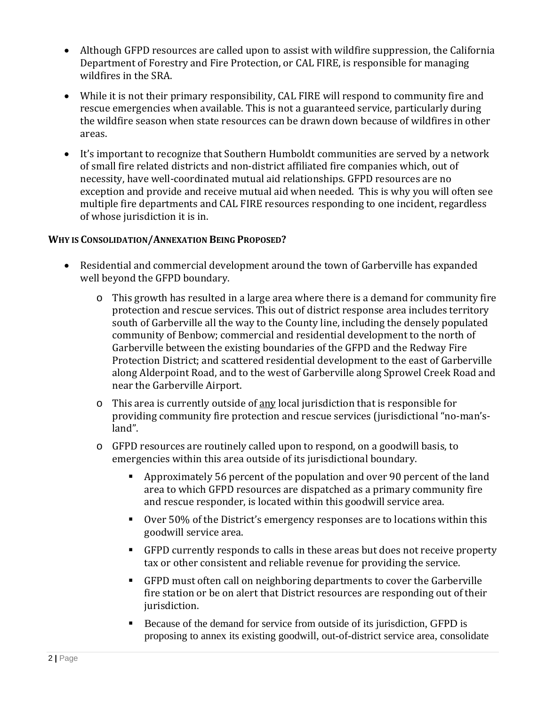- Although GFPD resources are called upon to assist with wildfire suppression, the California Department of Forestry and Fire Protection, or CAL FIRE, is responsible for managing wildfires in the SRA.
- While it is not their primary responsibility, CAL FIRE will respond to community fire and rescue emergencies when available. This is not a guaranteed service, particularly during the wildfire season when state resources can be drawn down because of wildfires in other areas.
- It's important to recognize that Southern Humboldt communities are served by a network of small fire related districts and non-district affiliated fire companies which, out of necessity, have well-coordinated mutual aid relationships. GFPD resources are no exception and provide and receive mutual aid when needed. This is why you will often see multiple fire departments and CAL FIRE resources responding to one incident, regardless of whose jurisdiction it is in.

### **WHY IS CONSOLIDATION/ANNEXATION BEING PROPOSED?**

- Residential and commercial development around the town of Garberville has expanded well beyond the GFPD boundary.
	- o This growth has resulted in a large area where there is a demand for community fire protection and rescue services. This out of district response area includes territory south of Garberville all the way to the County line, including the densely populated community of Benbow; commercial and residential development to the north of Garberville between the existing boundaries of the GFPD and the Redway Fire Protection District; and scattered residential development to the east of Garberville along Alderpoint Road, and to the west of Garberville along Sprowel Creek Road and near the Garberville Airport.
	- $\circ$  This area is currently outside of any local jurisdiction that is responsible for providing community fire protection and rescue services (jurisdictional "no-man'sland".
	- o GFPD resources are routinely called upon to respond, on a goodwill basis, to emergencies within this area outside of its jurisdictional boundary.
		- Approximately 56 percent of the population and over 90 percent of the land area to which GFPD resources are dispatched as a primary community fire and rescue responder, is located within this goodwill service area.
		- Over 50% of the District's emergency responses are to locations within this goodwill service area.
		- GFPD currently responds to calls in these areas but does not receive property tax or other consistent and reliable revenue for providing the service.
		- GFPD must often call on neighboring departments to cover the Garberville fire station or be on alert that District resources are responding out of their jurisdiction.
		- Because of the demand for service from outside of its jurisdiction, GFPD is proposing to annex its existing goodwill, out-of-district service area, consolidate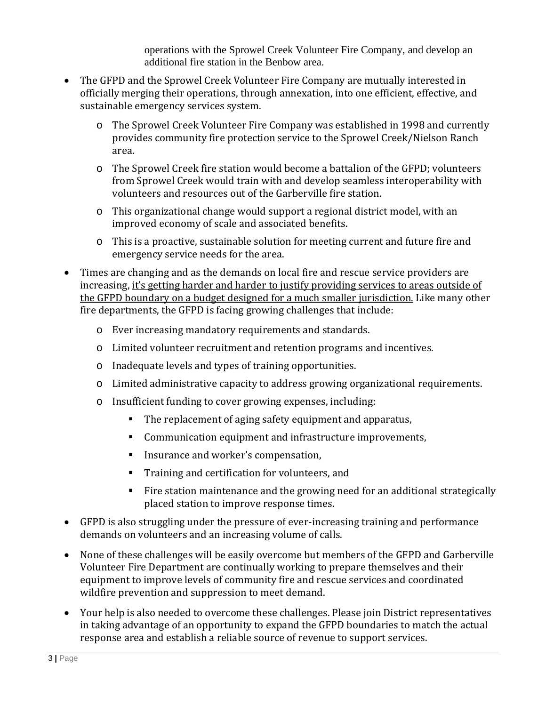operations with the Sprowel Creek Volunteer Fire Company, and develop an additional fire station in the Benbow area.

- The GFPD and the Sprowel Creek Volunteer Fire Company are mutually interested in officially merging their operations, through annexation, into one efficient, effective, and sustainable emergency services system.
	- o The Sprowel Creek Volunteer Fire Company was established in 1998 and currently provides community fire protection service to the Sprowel Creek/Nielson Ranch area.
	- o The Sprowel Creek fire station would become a battalion of the GFPD; volunteers from Sprowel Creek would train with and develop seamless interoperability with volunteers and resources out of the Garberville fire station.
	- o This organizational change would support a regional district model, with an improved economy of scale and associated benefits.
	- o This is a proactive, sustainable solution for meeting current and future fire and emergency service needs for the area.
- Times are changing and as the demands on local fire and rescue service providers are increasing, it's getting harder and harder to justify providing services to areas outside of the GFPD boundary on a budget designed for a much smaller jurisdiction. Like many other fire departments, the GFPD is facing growing challenges that include:
	- o Ever increasing mandatory requirements and standards.
	- o Limited volunteer recruitment and retention programs and incentives.
	- o Inadequate levels and types of training opportunities.
	- o Limited administrative capacity to address growing organizational requirements.
	- o Insufficient funding to cover growing expenses, including:
		- The replacement of aging safety equipment and apparatus,
		- Communication equipment and infrastructure improvements,
		- Insurance and worker's compensation,
		- **Training and certification for volunteers, and**
		- Fire station maintenance and the growing need for an additional strategically placed station to improve response times.
- GFPD is also struggling under the pressure of ever-increasing training and performance demands on volunteers and an increasing volume of calls.
- None of these challenges will be easily overcome but members of the GFPD and Garberville Volunteer Fire Department are continually working to prepare themselves and their equipment to improve levels of community fire and rescue services and coordinated wildfire prevention and suppression to meet demand.
- Your help is also needed to overcome these challenges. Please join District representatives in taking advantage of an opportunity to expand the GFPD boundaries to match the actual response area and establish a reliable source of revenue to support services.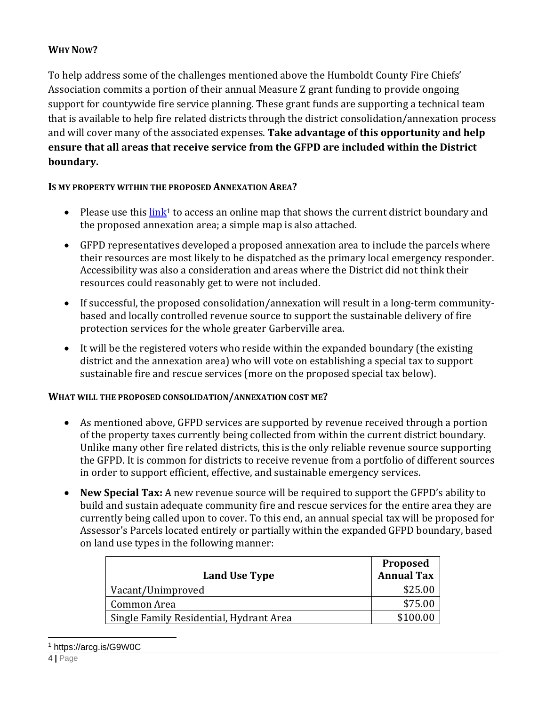# **WHY NOW?**

To help address some of the challenges mentioned above the Humboldt County Fire Chiefs' Association commits a portion of their annual Measure Z grant funding to provide ongoing support for countywide fire service planning. These grant funds are supporting a technical team that is available to help fire related districts through the district consolidation/annexation process and will cover many of the associated expenses. **Take advantage of this opportunity and help ensure that all areas that receive service from the GFPD are included within the District boundary.** 

### **IS MY PROPERTY WITHIN THE PROPOSED ANNEXATION AREA?**

- Please use this  $\lim_{k \to \infty} k^1$  to access an online map that shows the current district boundary and the proposed annexation area; a simple map is also attached.
- GFPD representatives developed a proposed annexation area to include the parcels where their resources are most likely to be dispatched as the primary local emergency responder. Accessibility was also a consideration and areas where the District did not think their resources could reasonably get to were not included.
- If successful, the proposed consolidation/annexation will result in a long-term communitybased and locally controlled revenue source to support the sustainable delivery of fire protection services for the whole greater Garberville area.
- It will be the registered voters who reside within the expanded boundary (the existing district and the annexation area) who will vote on establishing a special tax to support sustainable fire and rescue services (more on the proposed special tax below).

### **WHAT WILL THE PROPOSED CONSOLIDATION/ANNEXATION COST ME?**

- As mentioned above, GFPD services are supported by revenue received through a portion of the property taxes currently being collected from within the current district boundary. Unlike many other fire related districts, this is the only reliable revenue source supporting the GFPD. It is common for districts to receive revenue from a portfolio of different sources in order to support efficient, effective, and sustainable emergency services.
- **New Special Tax:** A new revenue source will be required to support the GFPD's ability to build and sustain adequate community fire and rescue services for the entire area they are currently being called upon to cover. To this end, an annual special tax will be proposed for Assessor's Parcels located entirely or partially within the expanded GFPD boundary, based on land use types in the following manner:

|                                         | Proposed          |
|-----------------------------------------|-------------------|
| Land Use Type                           | <b>Annual Tax</b> |
| Vacant/Unimproved                       | \$25.00           |
| Common Area                             | \$75.00           |
| Single Family Residential, Hydrant Area | \$100.00          |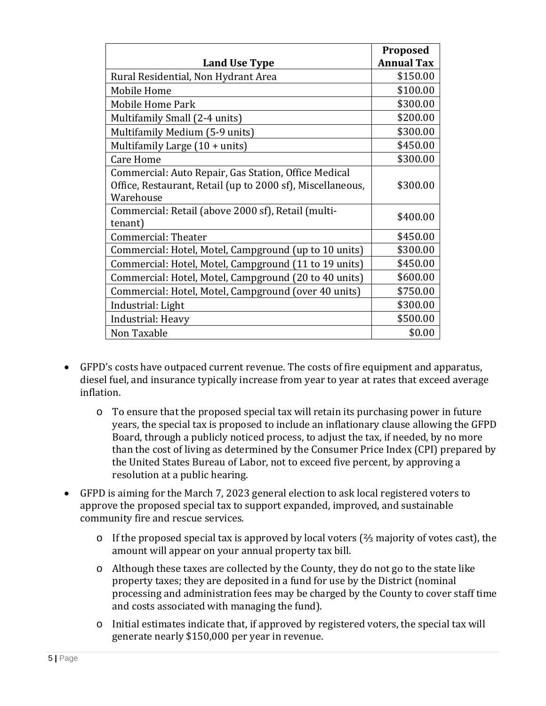|                                                                                                                                 | Proposed          |
|---------------------------------------------------------------------------------------------------------------------------------|-------------------|
| <b>Land Use Type</b>                                                                                                            | <b>Annual Tax</b> |
| Rural Residential, Non Hydrant Area                                                                                             | \$150.00          |
| Mobile Home                                                                                                                     | \$100.00          |
| Mobile Home Park                                                                                                                | \$300.00          |
| Multifamily Small (2-4 units)                                                                                                   | \$200.00          |
| Multifamily Medium (5-9 units)                                                                                                  | \$300.00          |
| Multifamily Large $(10 + units)$                                                                                                | \$450.00          |
| <b>Care Home</b>                                                                                                                | \$300.00          |
| Commercial: Auto Repair, Gas Station, Office Medical<br>Office, Restaurant, Retail (up to 2000 sf), Miscellaneous,<br>Warehouse | \$300.00          |
| Commercial: Retail (above 2000 sf), Retail (multi-<br>tenant)                                                                   | \$400.00          |
| Commercial: Theater                                                                                                             | \$450.00          |
| Commercial: Hotel, Motel, Campground (up to 10 units)                                                                           | \$300.00          |
| Commercial: Hotel, Motel, Campground (11 to 19 units)                                                                           | \$450.00          |
| Commercial: Hotel, Motel, Campground (20 to 40 units)                                                                           | \$600.00          |
| Commercial: Hotel, Motel, Campground (over 40 units)                                                                            | \$750.00          |
| Industrial: Light                                                                                                               | \$300.00          |
| Industrial: Heavy                                                                                                               | \$500.00          |
| Non Taxable                                                                                                                     | \$0.00            |

- GFPD's costs have outpaced current revenue. The costs of fire equipment and apparatus, diesel fuel, and insurance typically increase from year to year at rates that exceed average inflation.
	- o To ensure that the proposed special tax will retain its purchasing power in future years, the special tax is proposed to include an inflationary clause allowing the GFPD Board, through a publicly noticed process, to adjust the tax, if needed, by no more than the cost of living as determined by the Consumer Price Index (CPI) prepared by the United States Bureau of Labor, not to exceed five percent, by approving a resolution at a public hearing.
- GFPD is aiming for the March 7, 2023 general election to ask local registered voters to approve the proposed special tax to support expanded, improved, and sustainable community fire and rescue services.
	- o If the proposed special tax is approved by local voters (⅔ majority of votes cast), the amount will appear on your annual property tax bill.
	- o Although these taxes are collected by the County, they do not go to the state like property taxes; they are deposited in a fund for use by the District (nominal processing and administration fees may be charged by the County to cover staff time and costs associated with managing the fund).
	- o Initial estimates indicate that, if approved by registered voters, the special tax will generate nearly \$150,000 per year in revenue.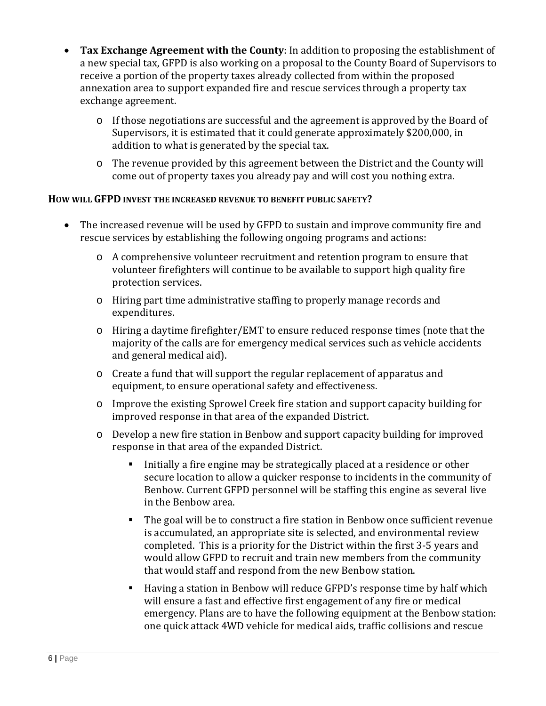- **Tax Exchange Agreement with the County**: In addition to proposing the establishment of a new special tax, GFPD is also working on a proposal to the County Board of Supervisors to receive a portion of the property taxes already collected from within the proposed annexation area to support expanded fire and rescue services through a property tax exchange agreement.
	- o If those negotiations are successful and the agreement is approved by the Board of Supervisors, it is estimated that it could generate approximately \$200,000, in addition to what is generated by the special tax.
	- o The revenue provided by this agreement between the District and the County will come out of property taxes you already pay and will cost you nothing extra.

### **HOW WILL GFPD INVEST THE INCREASED REVENUE TO BENEFIT PUBLIC SAFETY?**

- The increased revenue will be used by GFPD to sustain and improve community fire and rescue services by establishing the following ongoing programs and actions:
	- o A comprehensive volunteer recruitment and retention program to ensure that volunteer firefighters will continue to be available to support high quality fire protection services.
	- o Hiring part time administrative staffing to properly manage records and expenditures.
	- o Hiring a daytime firefighter/EMT to ensure reduced response times (note that the majority of the calls are for emergency medical services such as vehicle accidents and general medical aid).
	- o Create a fund that will support the regular replacement of apparatus and equipment, to ensure operational safety and effectiveness.
	- o Improve the existing Sprowel Creek fire station and support capacity building for improved response in that area of the expanded District.
	- o Develop a new fire station in Benbow and support capacity building for improved response in that area of the expanded District.
		- Initially a fire engine may be strategically placed at a residence or other secure location to allow a quicker response to incidents in the community of Benbow. Current GFPD personnel will be staffing this engine as several live in the Benbow area.
		- The goal will be to construct a fire station in Benbow once sufficient revenue is accumulated, an appropriate site is selected, and environmental review completed. This is a priority for the District within the first 3-5 years and would allow GFPD to recruit and train new members from the community that would staff and respond from the new Benbow station.
		- Having a station in Benbow will reduce GFPD's response time by half which will ensure a fast and effective first engagement of any fire or medical emergency. Plans are to have the following equipment at the Benbow station: one quick attack 4WD vehicle for medical aids, traffic collisions and rescue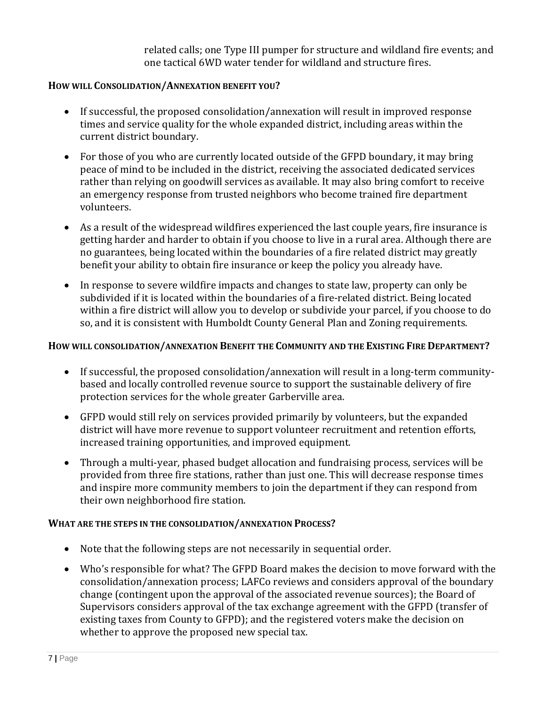related calls; one Type III pumper for structure and wildland fire events; and one tactical 6WD water tender for wildland and structure fires.

#### **HOW WILL CONSOLIDATION/ANNEXATION BENEFIT YOU?**

- If successful, the proposed consolidation/annexation will result in improved response times and service quality for the whole expanded district, including areas within the current district boundary.
- For those of you who are currently located outside of the GFPD boundary, it may bring peace of mind to be included in the district, receiving the associated dedicated services rather than relying on goodwill services as available. It may also bring comfort to receive an emergency response from trusted neighbors who become trained fire department volunteers.
- As a result of the widespread wildfires experienced the last couple years, fire insurance is getting harder and harder to obtain if you choose to live in a rural area. Although there are no guarantees, being located within the boundaries of a fire related district may greatly benefit your ability to obtain fire insurance or keep the policy you already have.
- In response to severe wildfire impacts and changes to state law, property can only be subdivided if it is located within the boundaries of a fire-related district. Being located within a fire district will allow you to develop or subdivide your parcel, if you choose to do so, and it is consistent with Humboldt County General Plan and Zoning requirements.

#### **HOW WILL CONSOLIDATION/ANNEXATION BENEFIT THE COMMUNITY AND THE EXISTING FIRE DEPARTMENT?**

- If successful, the proposed consolidation/annexation will result in a long-term communitybased and locally controlled revenue source to support the sustainable delivery of fire protection services for the whole greater Garberville area.
- GFPD would still rely on services provided primarily by volunteers, but the expanded district will have more revenue to support volunteer recruitment and retention efforts, increased training opportunities, and improved equipment.
- Through a multi-year, phased budget allocation and fundraising process, services will be provided from three fire stations, rather than just one. This will decrease response times and inspire more community members to join the department if they can respond from their own neighborhood fire station.

#### **WHAT ARE THE STEPS IN THE CONSOLIDATION/ANNEXATION PROCESS?**

- Note that the following steps are not necessarily in sequential order.
- Who's responsible for what? The GFPD Board makes the decision to move forward with the consolidation/annexation process; LAFCo reviews and considers approval of the boundary change (contingent upon the approval of the associated revenue sources); the Board of Supervisors considers approval of the tax exchange agreement with the GFPD (transfer of existing taxes from County to GFPD); and the registered voters make the decision on whether to approve the proposed new special tax.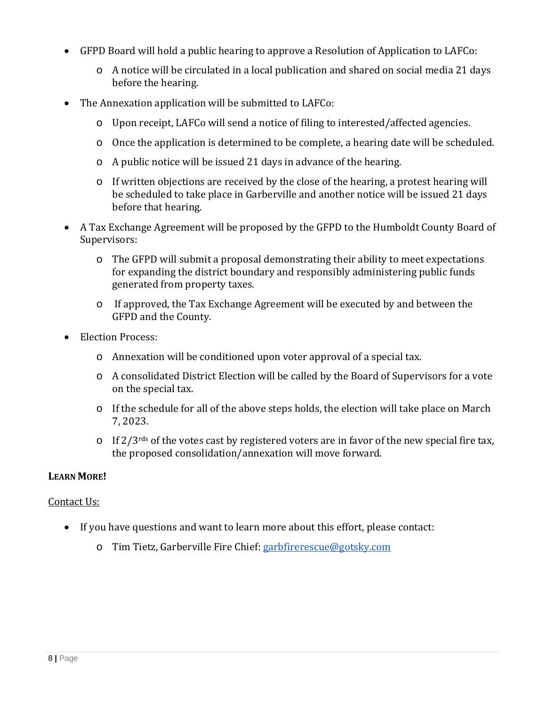- GFPD Board will hold a public hearing to approve a Resolution of Application to LAFCo:
	- o A notice will be circulated in a local publication and shared on social media 21 days before the hearing.
- The Annexation application will be submitted to LAFCo:
	- o Upon receipt, LAFCo will send a notice of filing to interested/affected agencies.
	- o Once the application is determined to be complete, a hearing date will be scheduled.
	- o A public notice will be issued 21 days in advance of the hearing.
	- o If written objections are received by the close of the hearing, a protest hearing will be scheduled to take place in Garberville and another notice will be issued 21 days before that hearing.
- A Tax Exchange Agreement will be proposed by the GFPD to the Humboldt County Board of Supervisors:
	- o The GFPD will submit a proposal demonstrating their ability to meet expectations for expanding the district boundary and responsibly administering public funds generated from property taxes.
	- o If approved, the Tax Exchange Agreement will be executed by and between the GFPD and the County.
- Election Process:
	- o Annexation will be conditioned upon voter approval of a special tax.
	- o A consolidated District Election will be called by the Board of Supervisors for a vote on the special tax.
	- o If the schedule for all of the above steps holds, the election will take place on March 7, 2023.
	- $\circ$  If 2/3<sup>rds</sup> of the votes cast by registered voters are in favor of the new special fire tax, the proposed consolidation/annexation will move forward.

### **LEARN MORE!**

### Contact Us:

- If you have questions and want to learn more about this effort, please contact:
	- o Tim Tietz, Garberville Fire Chief: garbfirerescue@gotsky.com